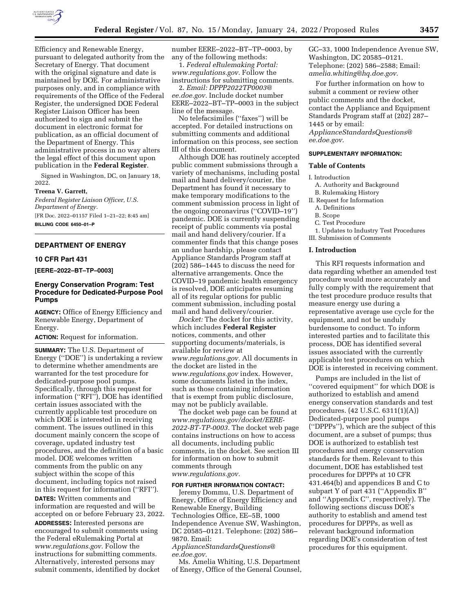

Efficiency and Renewable Energy, pursuant to delegated authority from the Secretary of Energy. That document with the original signature and date is maintained by DOE. For administrative purposes only, and in compliance with requirements of the Office of the Federal Register, the undersigned DOE Federal Register Liaison Officer has been authorized to sign and submit the document in electronic format for publication, as an official document of the Department of Energy. This administrative process in no way alters the legal effect of this document upon publication in the **Federal Register**.

Signed in Washington, DC, on January 18, 2022.

#### **Treena V. Garrett,**

*Federal Register Liaison Officer, U.S. Department of Energy.*  [FR Doc. 2022–01157 Filed 1–21–22; 8:45 am] **BILLING CODE 6450–01–P** 

#### **DEPARTMENT OF ENERGY**

# **10 CFR Part 431**

**[EERE–2022–BT–TP–0003]** 

# **Energy Conservation Program: Test Procedure for Dedicated-Purpose Pool Pumps**

**AGENCY:** Office of Energy Efficiency and Renewable Energy, Department of Energy.

**ACTION:** Request for information.

**SUMMARY:** The U.S. Department of Energy (''DOE'') is undertaking a review to determine whether amendments are warranted for the test procedure for dedicated-purpose pool pumps. Specifically, through this request for information (''RFI''), DOE has identified certain issues associated with the currently applicable test procedure on which DOE is interested in receiving comment. The issues outlined in this document mainly concern the scope of coverage, updated industry test procedures, and the definition of a basic model. DOE welcomes written comments from the public on any subject within the scope of this document, including topics not raised in this request for information (''RFI'').

**DATES:** Written comments and information are requested and will be accepted on or before February 23, 2022. **ADDRESSES:** Interested persons are encouraged to submit comments using the Federal eRulemaking Portal at *[www.regulations.gov.](http://www.regulations.gov)* Follow the instructions for submitting comments. Alternatively, interested persons may submit comments, identified by docket

number EERE–2022–BT–TP–0003, by any of the following methods:

1. *Federal eRulemaking Portal: [www.regulations.gov.](http://www.regulations.gov)* Follow the instructions for submitting comments.

2. *Email: [DPPP2022TP0003@](mailto:DPPP2022TP0003@ee.doe.gov) [ee.doe.gov.](mailto:DPPP2022TP0003@ee.doe.gov)* Include docket number EERE–2022–BT–TP–0003 in the subject line of the message.

No telefacsimiles (''faxes'') will be accepted. For detailed instructions on submitting comments and additional information on this process, see section III of this document.

Although DOE has routinely accepted public comment submissions through a variety of mechanisms, including postal mail and hand delivery/courier, the Department has found it necessary to make temporary modifications to the comment submission process in light of the ongoing coronavirus (''COVID–19'') pandemic. DOE is currently suspending receipt of public comments via postal mail and hand delivery/courier. If a commenter finds that this change poses an undue hardship, please contact Appliance Standards Program staff at (202) 586–1445 to discuss the need for alternative arrangements. Once the COVID–19 pandemic health emergency is resolved, DOE anticipates resuming all of its regular options for public comment submission, including postal mail and hand delivery/courier.

*Docket:* The docket for this activity, which includes **Federal Register**  notices, comments, and other supporting documents/materials, is available for review at *[www.regulations.gov.](http://www.regulations.gov)* All documents in the docket are listed in the *[www.regulations.gov](http://www.regulations.gov)* index. However, some documents listed in the index, such as those containing information that is exempt from public disclosure, may not be publicly available.

The docket web page can be found at *[www.regulations.gov/docket/EERE-](http://www.regulations.gov/docket/EERE-2022-BT-TP-0003)[2022-BT-TP-0003.](http://www.regulations.gov/docket/EERE-2022-BT-TP-0003)* The docket web page contains instructions on how to access all documents, including public comments, in the docket. See section III for information on how to submit comments through *[www.regulations.gov.](http://www.regulations.gov)* 

### **FOR FURTHER INFORMATION CONTACT:**

Jeremy Dommu, U.S. Department of Energy, Office of Energy Efficiency and Renewable Energy, Building Technologies Office, EE–5B, 1000 Independence Avenue SW, Washington, DC 20585–0121. Telephone: (202) 586– 9870. Email:

*[ApplianceStandardsQuestions@](mailto:ApplianceStandardsQuestions@ee.doe.gov) [ee.doe.gov.](mailto:ApplianceStandardsQuestions@ee.doe.gov)* 

Ms. Amelia Whiting, U.S. Department of Energy, Office of the General Counsel, GC–33, 1000 Independence Avenue SW, Washington, DC 20585–0121. Telephone: (202) 586–2588; Email: *[amelia.whiting@hq.doe.gov.](mailto:amelia.whiting@hq.doe.gov)* 

For further information on how to submit a comment or review other public comments and the docket, contact the Appliance and Equipment Standards Program staff at (202) 287– 1445 or by email: *[ApplianceStandardsQuestions@](mailto:ApplianceStandardsQuestions@ee.doe.gov) [ee.doe.gov.](mailto:ApplianceStandardsQuestions@ee.doe.gov)* 

## **SUPPLEMENTARY INFORMATION:**

# **Table of Contents**

# I. Introduction

- A. Authority and Background B. Rulemaking History
- II. Request for Information
	- A. Definitions
	- B. Scope
	- C. Test Procedure

1. Updates to Industry Test Procedures III. Submission of Comments

# **I. Introduction**

This RFI requests information and data regarding whether an amended test procedure would more accurately and fully comply with the requirement that the test procedure produce results that measure energy use during a representative average use cycle for the equipment, and not be unduly burdensome to conduct. To inform interested parties and to facilitate this process, DOE has identified several issues associated with the currently applicable test procedures on which DOE is interested in receiving comment.

Pumps are included in the list of ''covered equipment'' for which DOE is authorized to establish and amend energy conservation standards and test procedures. (42 U.S.C. 6311(1)(A)) Dedicated-purpose pool pumps (''DPPPs''), which are the subject of this document, are a subset of pumps; thus DOE is authorized to establish test procedures and energy conservation standards for them. Relevant to this document, DOE has established test procedures for DPPPs at 10 CFR 431.464(b) and appendices B and C to subpart Y of part 431 (''Appendix B'' and ''Appendix C'', respectively). The following sections discuss DOE's authority to establish and amend test procedures for DPPPs, as well as relevant background information regarding DOE's consideration of test procedures for this equipment.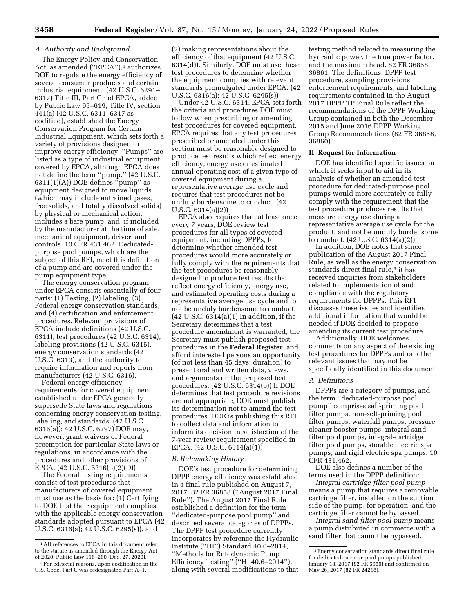# *A. Authority and Background*

The Energy Policy and Conservation Act, as amended ("EPCA"),<sup>1</sup> authorizes DOE to regulate the energy efficiency of several consumer products and certain industrial equipment. (42 U.S.C. 6291– 6317) Title III, Part C<sup>2</sup> of EPCA, added by Public Law 95–619, Title IV, section 441(a) (42 U.S.C. 6311–6317 as codified), established the Energy Conservation Program for Certain Industrial Equipment, which sets forth a variety of provisions designed to improve energy efficiency. ''Pumps'' are listed as a type of industrial equipment covered by EPCA, although EPCA does not define the term ''pump.'' (42 U.S.C. 6311(1)(A)) DOE defines ''pump'' as equipment designed to move liquids (which may include entrained gases, free solids, and totally dissolved solids) by physical or mechanical action, includes a bare pump, and, if included by the manufacturer at the time of sale, mechanical equipment, driver, and controls. 10 CFR 431.462. Dedicatedpurpose pool pumps, which are the subject of this RFI, meet this definition of a pump and are covered under the pump equipment type.

The energy conservation program under EPCA consists essentially of four parts: (1) Testing, (2) labeling, (3) Federal energy conservation standards, and (4) certification and enforcement procedures. Relevant provisions of EPCA include definitions (42 U.S.C. 6311), test procedures (42 U.S.C. 6314), labeling provisions (42 U.S.C. 6315), energy conservation standards (42 U.S.C. 6313), and the authority to require information and reports from manufacturers (42 U.S.C. 6316).

Federal energy efficiency requirements for covered equipment established under EPCA generally supersede State laws and regulations concerning energy conservation testing, labeling, and standards. (42 U.S.C. 6316(a)); 42 U.S.C. 6297) DOE may, however, grant waivers of Federal preemption for particular State laws or regulations, in accordance with the procedures and other provisions of EPCA. (42 U.S.C. 6316(b)(2)(D))

The Federal testing requirements consist of test procedures that manufacturers of covered equipment must use as the basis for: (1) Certifying to DOE that their equipment complies with the applicable energy conservation standards adopted pursuant to EPCA (42 U.S.C. 6316(a); 42 U.S.C. 6295(s)), and

(2) making representations about the efficiency of that equipment (42 U.S.C. 6314(d)). Similarly, DOE must use these test procedures to determine whether the equipment complies with relevant standards promulgated under EPCA. (42 U.S.C. 6316(a); 42 U.S.C. 6295(s))

Under 42 U.S.C. 6314, EPCA sets forth the criteria and procedures DOE must follow when prescribing or amending test procedures for covered equipment. EPCA requires that any test procedures prescribed or amended under this section must be reasonably designed to produce test results which reflect energy efficiency, energy use or estimated annual operating cost of a given type of covered equipment during a representative average use cycle and requires that test procedures not be unduly burdensome to conduct. (42 U.S.C. 6314(a)(2))

EPCA also requires that, at least once every 7 years, DOE review test procedures for all types of covered equipment, including DPPPs, to determine whether amended test procedures would more accurately or fully comply with the requirements that the test procedures be reasonably designed to produce test results that reflect energy efficiency, energy use, and estimated operating costs during a representative average use cycle and to not be unduly burdensome to conduct. (42 U.S.C. 6314(a)(1) In addition, if the Secretary determines that a test procedure amendment is warranted, the Secretary must publish proposed test procedures in the **Federal Register**, and afford interested persons an opportunity (of not less than 45 days' duration) to present oral and written data, views, and arguments on the proposed test procedures. (42 U.S.C. 6314(b)) If DOE determines that test procedure revisions are not appropriate, DOE must publish its determination not to amend the test procedures. DOE is publishing this RFI to collect data and information to inform its decision in satisfaction of the 7-year review requirement specified in EPCA. (42 U.S.C. 6314(a)(1))

### *B. Rulemaking History*

DOE's test procedure for determining DPPP energy efficiency was established in a final rule published on August 7, 2017. 82 FR 36858 (''August 2017 Final Rule''). The August 2017 Final Rule established a definition for the term ''dedicated-purpose pool pump'' and described several categories of DPPPs. The DPPP test procedure currently incorporates by reference the Hydraulic Institute ("HI") Standard 40.6-2014, ''Methods for Rotodynamic Pump Efficiency Testing'' (''HI 40.6–2014''), along with several modifications to that

testing method related to measuring the hydraulic power, the true power factor, and the maximum head. 82 FR 36858, 36861. The definitions, DPPP test procedure, sampling provisions, enforcement requirements, and labeling requirements contained in the August 2017 DPPP TP Final Rule reflect the recommendations of the DPPP Working Group contained in both the December 2015 and June 2016 DPPP Working Group Recommendations (82 FR 36858, 36860).

## **II. Request for Information**

DOE has identified specific issues on which it seeks input to aid in its analysis of whether an amended test procedure for dedicated-purpose pool pumps would more accurately or fully comply with the requirement that the test procedure produces results that measure energy use during a representative average use cycle for the product, and not be unduly burdensome to conduct. (42 U.S.C. 6314(a)(2))

In addition, DOE notes that since publication of the August 2017 Final Rule, as well as the energy conservation standards direct final rule,<sup>3</sup> it has received inquiries from stakeholders related to implementation of and compliance with the regulatory requirements for DPPPs. This RFI discusses these issues and identifies additional information that would be needed if DOE decided to propose amending its current test procedure.

Additionally, DOE welcomes comments on any aspect of the existing test procedures for DPPPs and on other relevant issues that may not be specifically identified in this document.

#### *A. Definitions*

DPPPs are a category of pumps, and the term ''dedicated-purpose pool pump'' comprises self-priming pool filter pumps, non-self-priming pool filter pumps, waterfall pumps, pressure cleaner booster pumps, integral sandfilter pool pumps, integral-cartridge filter pool pumps, storable electric spa pumps, and rigid electric spa pumps. 10 CFR 431.462.

DOE also defines a number of the terms used in the DPPP definition:

*Integral cartridge-filter pool pump*  means a pump that requires a removable cartridge filter, installed on the suction side of the pump, for operation; and the cartridge filter cannot be bypassed.

*Integral sand-filter pool pump* means a pump distributed in commerce with a sand filter that cannot be bypassed.

<sup>1</sup>All references to EPCA in this document refer to the statute as amended through the Energy Act of 2020, Public Law 116–260 (Dec. 27, 2020).

<sup>2</sup>For editorial reasons, upon codification in the U.S. Code, Part C was redesignated Part A–1.

<sup>3</sup>Energy conservation standards direct final rule for dedicated-purpose pool pumps published January 18, 2017 (82 FR 5650) and confirmed on May 26, 2017 (82 FR 24218).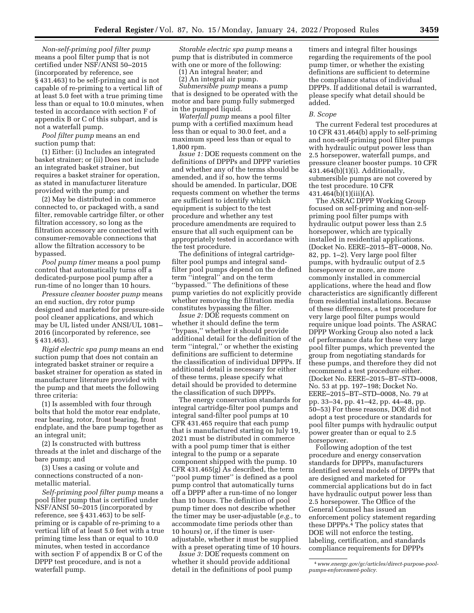*Non-self-priming pool filter pump*  means a pool filter pump that is not certified under NSF/ANSI 50–2015 (incorporated by reference, see § 431.463) to be self-priming and is not capable of re-priming to a vertical lift of at least 5.0 feet with a true priming time less than or equal to 10.0 minutes, when tested in accordance with section F of appendix B or C of this subpart, and is not a waterfall pump.

*Pool filter pump* means an end suction pump that:

(1) Either: (i) Includes an integrated basket strainer; or (ii) Does not include an integrated basket strainer, but requires a basket strainer for operation, as stated in manufacturer literature provided with the pump; and

(2) May be distributed in commerce connected to, or packaged with, a sand filter, removable cartridge filter, or other filtration accessory, so long as the filtration accessory are connected with consumer-removable connections that allow the filtration accessory to be bypassed.

*Pool pump timer* means a pool pump control that automatically turns off a dedicated-purpose pool pump after a run-time of no longer than 10 hours.

*Pressure cleaner booster pump* means an end suction, dry rotor pump designed and marketed for pressure-side pool cleaner applications, and which may be UL listed under ANSI/UL 1081– 2016 (incorporated by reference, see § 431.463).

*Rigid electric spa pump* means an end suction pump that does not contain an integrated basket strainer or require a basket strainer for operation as stated in manufacturer literature provided with the pump and that meets the following three criteria:

(1) Is assembled with four through bolts that hold the motor rear endplate, rear bearing, rotor, front bearing, front endplate, and the bare pump together as an integral unit;

(2) Is constructed with buttress threads at the inlet and discharge of the bare pump; and

(3) Uses a casing or volute and connections constructed of a nonmetallic material.

*Self-priming pool filter pump* means a pool filter pump that is certified under NSF/ANSI 50–2015 (incorporated by reference, see § 431.463) to be selfpriming or is capable of re-priming to a vertical lift of at least 5.0 feet with a true priming time less than or equal to 10.0 minutes, when tested in accordance with section F of appendix B or C of the DPPP test procedure, and is not a waterfall pump.

*Storable electric spa pump* means a pump that is distributed in commerce with one or more of the following:

(1) An integral heater; and

(2) An integral air pump.

*Submersible pump* means a pump that is designed to be operated with the motor and bare pump fully submerged in the pumped liquid.

*Waterfall pump* means a pool filter pump with a certified maximum head less than or equal to 30.0 feet, and a maximum speed less than or equal to 1,800 rpm.

*Issue 1:* DOE requests comment on the definitions of DPPPs and DPPP varieties and whether any of the terms should be amended, and if so, how the terms should be amended. In particular, DOE requests comment on whether the terms are sufficient to identify which equipment is subject to the test procedure and whether any test procedure amendments are required to ensure that all such equipment can be appropriately tested in accordance with the test procedure.

The definitions of integral cartridgefilter pool pumps and integral sandfilter pool pumps depend on the defined term ''integral'' and on the term ''bypassed.'' The definitions of these pump varieties do not explicitly provide whether removing the filtration media constitutes bypassing the filter.

*Issue 2:* DOE requests comment on whether it should define the term ''bypass,'' whether it should provide additional detail for the definition of the term ''integral,'' or whether the existing definitions are sufficient to determine the classification of individual DPPPs. If additional detail is necessary for either of these terms, please specify what detail should be provided to determine the classification of such DPPPs.

The energy conservation standards for integral cartridge-filter pool pumps and integral sand-filter pool pumps at 10 CFR 431.465 require that each pump that is manufactured starting on July 19, 2021 must be distributed in commerce with a pool pump timer that is either integral to the pump or a separate component shipped with the pump. 10 CFR 431.465(g) As described, the term ''pool pump timer'' is defined as a pool pump control that automatically turns off a DPPP after a run-time of no longer than 10 hours. The definition of pool pump timer does not describe whether the timer may be user-adjustable (*e.g.,* to accommodate time periods other than 10 hours) or, if the timer is useradjustable, whether it must be supplied with a preset operating time of 10 hours.

*Issue 3:* DOE requests comment on whether it should provide additional detail in the definitions of pool pump

timers and integral filter housings regarding the requirements of the pool pump timer, or whether the existing definitions are sufficient to determine the compliance status of individual DPPPs. If additional detail is warranted, please specify what detail should be added.

## *B. Scope*

The current Federal test procedures at 10 CFR 431.464(b) apply to self-priming and non-self-priming pool filter pumps with hydraulic output power less than 2.5 horsepower, waterfall pumps, and pressure cleaner booster pumps. 10 CFR 431.464(b)(1)(i). Additionally, submersible pumps are not covered by the test procedure. 10 CFR 431.464(b)(1)(iii)(A).

The ASRAC DPPP Working Group focused on self-priming and non-selfpriming pool filter pumps with hydraulic output power less than 2.5 horsepower, which are typically installed in residential applications. (Docket No. EERE–2015–BT–0008, No. 82, pp. 1–2). Very large pool filter pumps, with hydraulic output of 2.5 horsepower or more, are more commonly installed in commercial applications, where the head and flow characteristics are significantly different from residential installations. Because of these differences, a test procedure for very large pool filter pumps would require unique load points. The ASRAC DPPP Working Group also noted a lack of performance data for these very large pool filter pumps, which prevented the group from negotiating standards for these pumps, and therefore they did not recommend a test procedure either. (Docket No. EERE–2015–BT–STD–0008, No. 53 at pp. 197–198; Docket No. EERE–2015–BT–STD–0008, No. 79 at pp. 33–34, pp. 41–42, pp. 44–48, pp. 50–53) For these reasons, DOE did not adopt a test procedure or standards for pool filter pumps with hydraulic output power greater than or equal to 2.5 horsepower.

Following adoption of the test procedure and energy conservation standards for DPPPs, manufacturers identified several models of DPPPs that are designed and marketed for commercial applications but do in fact have hydraulic output power less than 2.5 horsepower. The Office of the General Counsel has issued an enforcement policy statement regarding these DPPPs.4 The policy states that DOE will not enforce the testing, labeling, certification, and standards compliance requirements for DPPPs

<sup>4</sup>*[www.energy.gov/gc/articles/direct-purpose-pool](http://www.energy.gov/gc/articles/direct-purpose-pool-pumps-enforcement-policy)[pumps-enforcement-policy.](http://www.energy.gov/gc/articles/direct-purpose-pool-pumps-enforcement-policy)*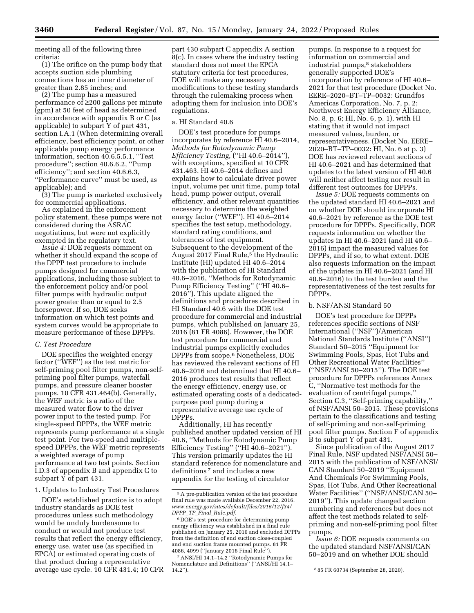meeting all of the following three criteria:

(1) The orifice on the pump body that accepts suction side plumbing connections has an inner diameter of greater than 2.85 inches; and

(2) The pump has a measured performance of ≥200 gallons per minute (gpm) at 50 feet of head as determined in accordance with appendix B or C (as applicable) to subpart Y of part 431, section I.A.1 (When determining overall efficiency, best efficiency point, or other applicable pump energy performance information, section 40.6.5.5.1, ''Test procedure''; section 40.6.6.2, ''Pump efficiency''; and section 40.6.6.3, ''Performance curve'' must be used, as applicable); and

(3) The pump is marketed exclusively for commercial applications.

As explained in the enforcement policy statement, these pumps were not considered during the ASRAC negotiations, but were not explicitly exempted in the regulatory text.

*Issue 4:* DOE requests comment on whether it should expand the scope of the DPPP test procedure to include pumps designed for commercial applications, including those subject to the enforcement policy and/or pool filter pumps with hydraulic output power greater than or equal to 2.5 horsepower. If so, DOE seeks information on which test points and system curves would be appropriate to measure performance of these DPPPs.

## *C. Test Procedure*

DOE specifies the weighted energy factor (''WEF'') as the test metric for self-priming pool filter pumps, non-selfpriming pool filter pumps, waterfall pumps, and pressure cleaner booster pumps. 10 CFR 431.464(b). Generally, the WEF metric is a ratio of the measured water flow to the driver power input to the tested pump. For single-speed DPPPs, the WEF metric represents pump performance at a single test point. For two-speed and multiplespeed DPPPs, the WEF metric represents a weighted average of pump performance at two test points. Section I.D.3 of appendix B and appendix C to subpart Y of part 431.

1. Updates to Industry Test Procedures

DOE's established practice is to adopt industry standards as DOE test procedures unless such methodology would be unduly burdensome to conduct or would not produce test results that reflect the energy efficiency, energy use, water use (as specified in EPCA) or estimated operating costs of that product during a representative average use cycle. 10 CFR 431.4; 10 CFR

part 430 subpart C appendix A section 8(c). In cases where the industry testing standard does not meet the EPCA statutory criteria for test procedures, DOE will make any necessary modifications to these testing standards through the rulemaking process when adopting them for inclusion into DOE's regulations.

# a. HI Standard 40.6

DOE's test procedure for pumps incorporates by reference HI 40.6–2014, *Methods for Rotodynamic Pump Efficiency Testing,* (''HI 40.6–2014''), with exceptions, specified at 10 CFR 431.463. HI 40.6–2014 defines and explains how to calculate driver power input, volume per unit time, pump total head, pump power output, overall efficiency, and other relevant quantities necessary to determine the weighted energy factor (''WEF''). HI 40.6–2014 specifies the test setup, methodology, standard rating conditions, and tolerances of test equipment. Subsequent to the development of the August 2017 Final Rule,<sup>5</sup> the Hydraulic Institute (HI) updated HI 40.6–2014 with the publication of HI Standard 40.6–2016, ''Methods for Rotodynamic Pump Efficiency Testing'' (''HI 40.6– 2016''). This update aligned the definitions and procedures described in HI Standard 40.6 with the DOE test procedure for commercial and industrial pumps, which published on January 25, 2016 (81 FR 4086). However, the DOE test procedure for commercial and industrial pumps explicitly excludes DPPPs from scope.6 Nonetheless, DOE has reviewed the relevant sections of HI 40.6–2016 and determined that HI 40.6– 2016 produces test results that reflect the energy efficiency, energy use, or estimated operating costs of a dedicatedpurpose pool pump during a representative average use cycle of DPPPs.

Additionally, HI has recently published another updated version of HI 40.6, ''Methods for Rotodynamic Pump Efficiency Testing" ("HI 40.6-2021"). This version primarily updates the HI standard reference for nomenclature and definitions 7 and includes a new appendix for the testing of circulator

pumps. In response to a request for information on commercial and industrial pumps,<sup>8</sup> stakeholders generally supported DOE's incorporation by reference of HI 40.6– 2021 for that test procedure (Docket No. EERE–2020–BT–TP–0032: Grundfos Americas Corporation, No. 7, p. 2; Northwest Energy Efficiency Alliance, No. 8, p. 6; HI, No. 6, p. 1), with HI stating that it would not impact measured values, burden, or representativeness. (Docket No. EERE– 2020–BT–TP–0032: HI, No. 6 at p. 3) DOE has reviewed relevant sections of HI 40.6–2021 and has determined that updates to the latest version of HI 40.6 will neither affect testing nor result in different test outcomes for DPPPs.

*Issue 5:* DOE requests comments on the updated standard HI 40.6–2021 and on whether DOE should incorporate HI 40.6–2021 by reference as the DOE test procedure for DPPPs. Specifically, DOE requests information on whether the updates in HI 40.6–2021 (and HI 40.6– 2016) impact the measured values for DPPPs, and if so, to what extent. DOE also requests information on the impact of the updates in HI 40.6–2021 (and HI 40.6–2016) to the test burden and the representativeness of the test results for DPPPs.

#### b. NSF/ANSI Standard 50

DOE's test procedure for DPPPs references specific sections of NSF International (''NSF'')/American National Standards Institute (''ANSI'') Standard 50–2015 ''Equipment for Swimming Pools, Spas, Hot Tubs and Other Recreational Water Facilities'' (''NSF/ANSI 50–2015''). The DOE test procedure for DPPPs references Annex C, ''Normative test methods for the evaluation of centrifugal pumps,'' Section C.3, ''Self-priming capability,'' of NSF/ANSI 50–2015. These provisions pertain to the classifications and testing of self-priming and non-self-priming pool filter pumps. Section F of appendix B to subpart Y of part 431.

Since publication of the August 2017 Final Rule, NSF updated NSF/ANSI 50– 2015 with the publication of NSF/ANSI/ CAN Standard 50–2019 ''Equipment And Chemicals For Swimming Pools, Spas, Hot Tubs, And Other Recreational Water Facilities'' (''NSF/ANSI/CAN 50– 2019''). This update changed section numbering and references but does not affect the test methods related to selfpriming and non-self-priming pool filter pumps.

*Issue 6:* DOE requests comments on the updated standard NSF/ANSI/CAN 50–2019 and on whether DOE should

<sup>5</sup>A pre-publication version of the test procedure final rule was made available December 22, 2016. *[www.energy.gov/sites/default/files/2016/12/f34/](http://www.energy.gov/sites/default/files/2016/12/f34/DPPP_TP_Final_Rule.pdf)  DPPP*\_*TP*\_*Final*\_*[Rule.pdf.](http://www.energy.gov/sites/default/files/2016/12/f34/DPPP_TP_Final_Rule.pdf)* 

 $^6\rm{DOE's}$  test procedure for determining pump energy efficiency was established in a final rule published on January 25, 2016 and excluded DPPPs from the definition of end suction close-coupled and end suction frame mounted pumps. 81 FR 4086, 4099 (''January 2016 Final Rule'').

<sup>7</sup>ANSI/HI 14.1–14.2 ''Rotodynamic Pumps for Nomenclature and Definitions'' (''ANSI/HI 14.1– 14.2"). 8 85 FR 60734 (September 28, 2020).